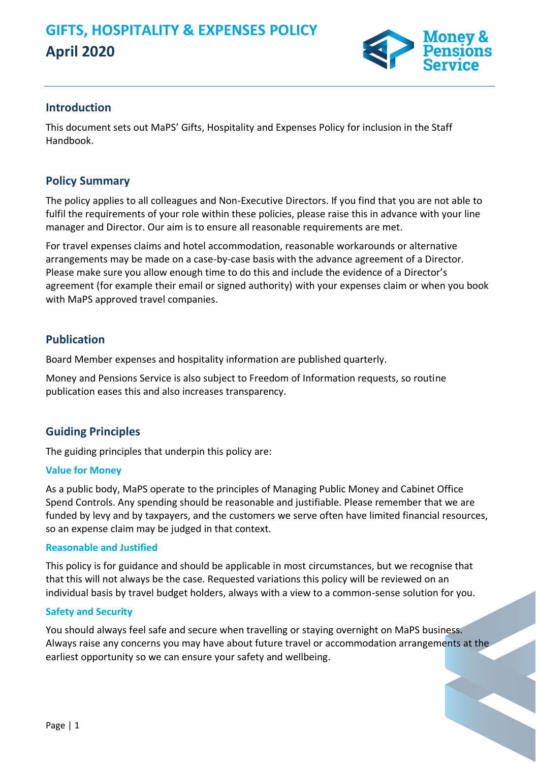

### **Introduction**

This document sets out MaPS' Gifts, Hospitality and Expenses Policy for inclusion in the Staff Handbook.

## **Policy Summary**

The policy applies to all colleagues and Non-Executive Directors. If you find that you are not able to fulfil the requirements of your role within these policies, please raise this in advance with your line manager and Director. Our aim is to ensure all reasonable requirements are met.

For travel expenses claims and hotel accommodation, reasonable workarounds or alternative arrangements may be made on a case-by-case basis with the advance agreement of a Director. Please make sure you allow enough time to do this and include the evidence of a Director's agreement (for example their email or signed authority) with your expenses claim or when you book with MaPS approved travel companies.

## **Publication**

Board Member expenses and hospitality information are published quarterly.

Money and Pensions Service is also subject to Freedom of Information requests, so routine publication eases this and also increases transparency.

# **Guiding Principles**

The guiding principles that underpin this policy are:

### **Value for Money**

As a public body, MaPS operate to the principles of Managing Public Money and Cabinet Office Spend Controls. Any spending should be reasonable and justifiable. Please remember that we are funded by levy and by taxpayers, and the customers we serve often have limited financial resources, so an expense claim may be judged in that context.

#### **Reasonable and Justified**

This policy is for guidance and should be applicable in most circumstances, but we recognise that that this will not always be the case. Requested variations this policy will be reviewed on an individual basis by travel budget holders, always with a view to a common-sense solution for you.

#### **Safety and Security**

You should always feel safe and secure when travelling or staying overnight on MaPS business. Always raise any concerns you may have about future travel or accommodation arrangements at the earliest opportunity so we can ensure your safety and wellbeing.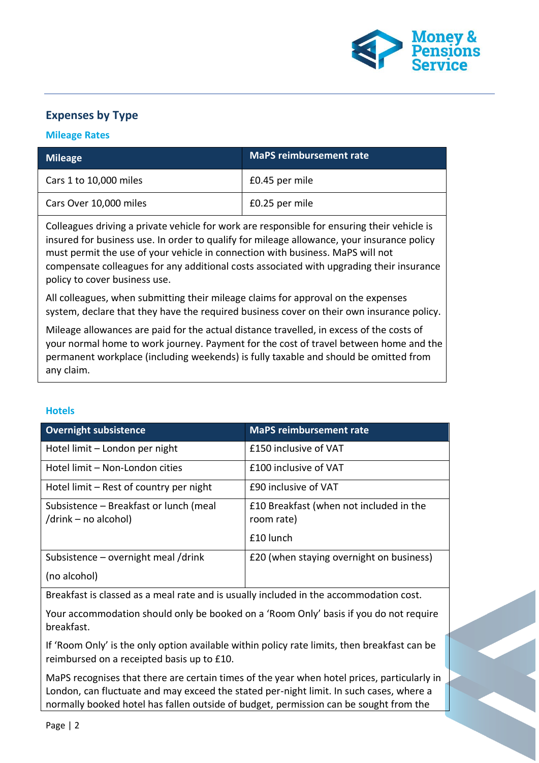

# **Expenses by Type**

#### **Mileage Rates**

| <b>Mileage</b>         | <b>MaPS reimbursement rate</b> |
|------------------------|--------------------------------|
| Cars 1 to 10,000 miles | £0.45 per mile                 |
| Cars Over 10,000 miles | £0.25 per mile                 |

Colleagues driving a private vehicle for work are responsible for ensuring their vehicle is insured for business use. In order to qualify for mileage allowance, your insurance policy must permit the use of your vehicle in connection with business. MaPS will not compensate colleagues for any additional costs associated with upgrading their insurance policy to cover business use.

All colleagues, when submitting their mileage claims for approval on the expenses system, declare that they have the required business cover on their own insurance policy.

Mileage allowances are paid for the actual distance travelled, in excess of the costs of your normal home to work journey. Payment for the cost of travel between home and the permanent workplace (including weekends) is fully taxable and should be omitted from any claim.

#### **Hotels**

| <b>Overnight subsistence</b>                                   | <b>MaPS</b> reimbursement rate                        |
|----------------------------------------------------------------|-------------------------------------------------------|
| Hotel limit - London per night                                 | £150 inclusive of VAT                                 |
| Hotel limit – Non-London cities                                | £100 inclusive of VAT                                 |
| Hotel limit – Rest of country per night                        | £90 inclusive of VAT                                  |
| Subsistence - Breakfast or lunch (meal<br>/drink – no alcohol) | £10 Breakfast (when not included in the<br>room rate) |
|                                                                | £10 lunch                                             |
| Subsistence - overnight meal /drink                            | £20 (when staying overnight on business)              |
| (no alcohol)                                                   |                                                       |

Breakfast is classed as a meal rate and is usually included in the accommodation cost.

Your accommodation should only be booked on a 'Room Only' basis if you do not require breakfast.

If 'Room Only' is the only option available within policy rate limits, then breakfast can be reimbursed on a receipted basis up to £10.

MaPS recognises that there are certain times of the year when hotel prices, particularly in London, can fluctuate and may exceed the stated per-night limit. In such cases, where a normally booked hotel has fallen outside of budget, permission can be sought from the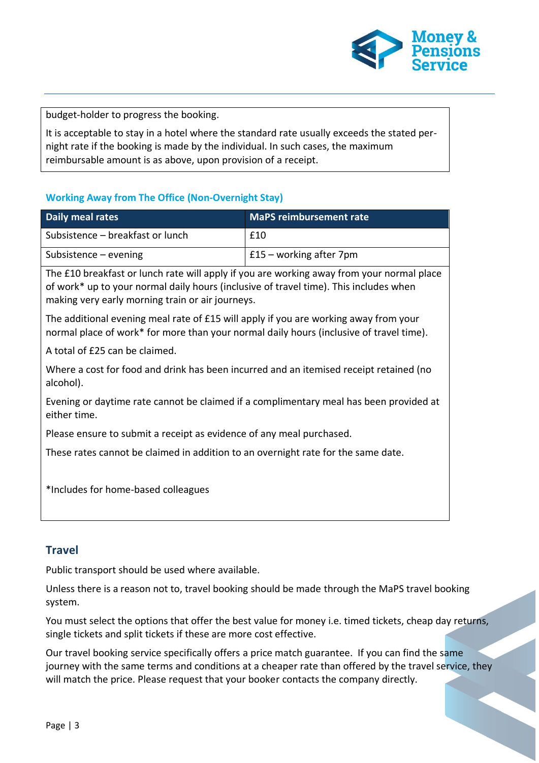

budget-holder to progress the booking.

It is acceptable to stay in a hotel where the standard rate usually exceeds the stated pernight rate if the booking is made by the individual. In such cases, the maximum reimbursable amount is as above, upon provision of a receipt.

### **Working Away from The Office (Non-Overnight Stay)**

| Daily meal rates                 | <b>MaPS reimbursement rate</b> |
|----------------------------------|--------------------------------|
| Subsistence – breakfast or lunch | £10                            |
| Subsistence – evening            | $£15 - working after 7pm$      |
|                                  |                                |

The £10 breakfast or lunch rate will apply if you are working away from your normal place of work\* up to your normal daily hours (inclusive of travel time). This includes when making very early morning train or air journeys.

The additional evening meal rate of £15 will apply if you are working away from your normal place of work\* for more than your normal daily hours (inclusive of travel time).

A total of £25 can be claimed.

Where a cost for food and drink has been incurred and an itemised receipt retained (no alcohol).

Evening or daytime rate cannot be claimed if a complimentary meal has been provided at either time.

Please ensure to submit a receipt as evidence of any meal purchased.

These rates cannot be claimed in addition to an overnight rate for the same date.

\*Includes for home-based colleagues

## **Travel**

Public transport should be used where available.

Unless there is a reason not to, travel booking should be made through the MaPS travel booking system.

You must select the options that offer the best value for money i.e. timed tickets, cheap day returns, single tickets and split tickets if these are more cost effective.

Our travel booking service specifically offers a price match guarantee. If you can find the same journey with the same terms and conditions at a cheaper rate than offered by the travel service, they will match the price. Please request that your booker contacts the company directly.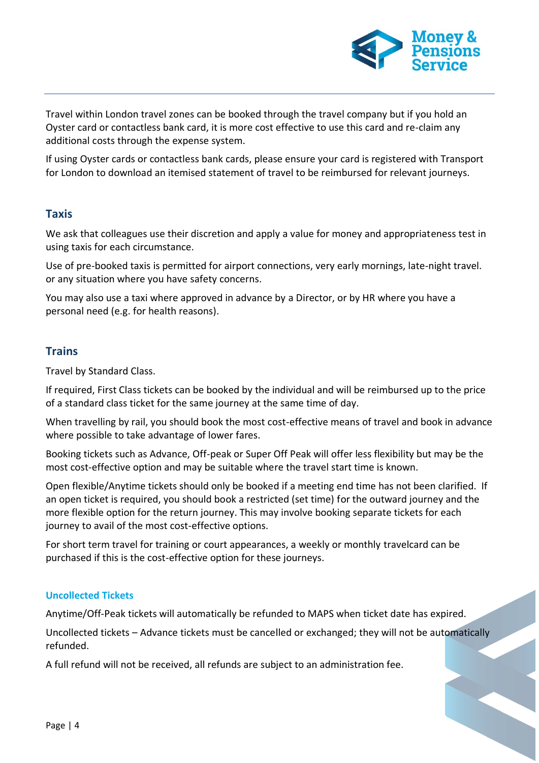

Travel within London travel zones can be booked through the travel company but if you hold an Oyster card or contactless bank card, it is more cost effective to use this card and re-claim any additional costs through the expense system.

If using Oyster cards or contactless bank cards, please ensure your card is registered with Transport for London to download an itemised statement of travel to be reimbursed for relevant journeys.

## **Taxis**

We ask that colleagues use their discretion and apply a value for money and appropriateness test in using taxis for each circumstance.

Use of pre-booked taxis is permitted for airport connections, very early mornings, late-night travel. or any situation where you have safety concerns.

You may also use a taxi where approved in advance by a Director, or by HR where you have a personal need (e.g. for health reasons).

# **Trains**

Travel by Standard Class.

If required, First Class tickets can be booked by the individual and will be reimbursed up to the price of a standard class ticket for the same journey at the same time of day.

When travelling by rail, you should book the most cost-effective means of travel and book in advance where possible to take advantage of lower fares.

Booking tickets such as Advance, Off-peak or Super Off Peak will offer less flexibility but may be the most cost-effective option and may be suitable where the travel start time is known.

Open flexible/Anytime tickets should only be booked if a meeting end time has not been clarified. If an open ticket is required, you should book a restricted (set time) for the outward journey and the more flexible option for the return journey. This may involve booking separate tickets for each journey to avail of the most cost-effective options.

For short term travel for training or court appearances, a weekly or monthly travelcard can be purchased if this is the cost-effective option for these journeys.

### **Uncollected Tickets**

Anytime/Off-Peak tickets will automatically be refunded to MAPS when ticket date has expired.

Uncollected tickets – Advance tickets must be cancelled or exchanged; they will not be automatically refunded.

A full refund will not be received, all refunds are subject to an administration fee.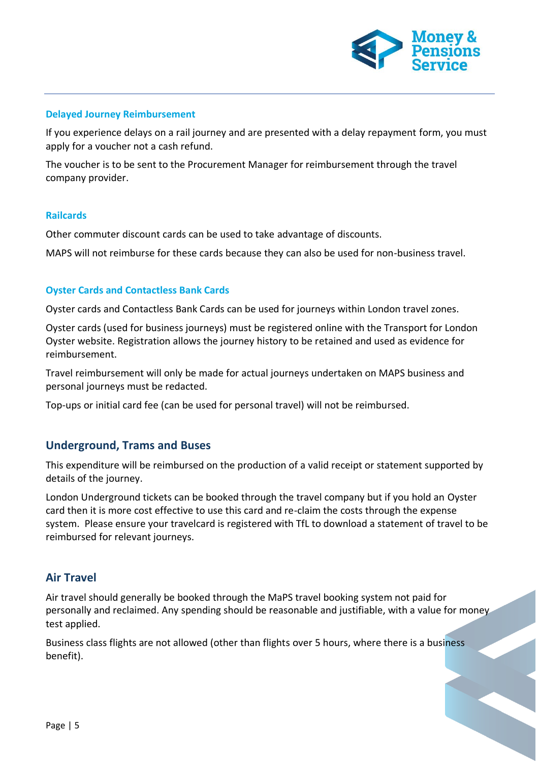

#### **Delayed Journey Reimbursement**

If you experience delays on a rail journey and are presented with a delay repayment form, you must apply for a voucher not a cash refund.

The voucher is to be sent to the Procurement Manager for reimbursement through the travel company provider.

#### **Railcards**

Other commuter discount cards can be used to take advantage of discounts.

MAPS will not reimburse for these cards because they can also be used for non-business travel.

#### **Oyster Cards and Contactless Bank Cards**

Oyster cards and Contactless Bank Cards can be used for journeys within London travel zones.

Oyster cards (used for business journeys) must be registered online with the Transport for London Oyster website. Registration allows the journey history to be retained and used as evidence for reimbursement.

Travel reimbursement will only be made for actual journeys undertaken on MAPS business and personal journeys must be redacted.

Top-ups or initial card fee (can be used for personal travel) will not be reimbursed.

### **Underground, Trams and Buses**

This expenditure will be reimbursed on the production of a valid receipt or statement supported by details of the journey.

London Underground tickets can be booked through the travel company but if you hold an Oyster card then it is more cost effective to use this card and re-claim the costs through the expense system. Please ensure your travelcard is registered with TfL to download a statement of travel to be reimbursed for relevant journeys.

### **Air Travel**

Air travel should generally be booked through the MaPS travel booking system not paid for personally and reclaimed. Any spending should be reasonable and justifiable, with a value for money test applied.

Business class flights are not allowed (other than flights over 5 hours, where there is a business benefit).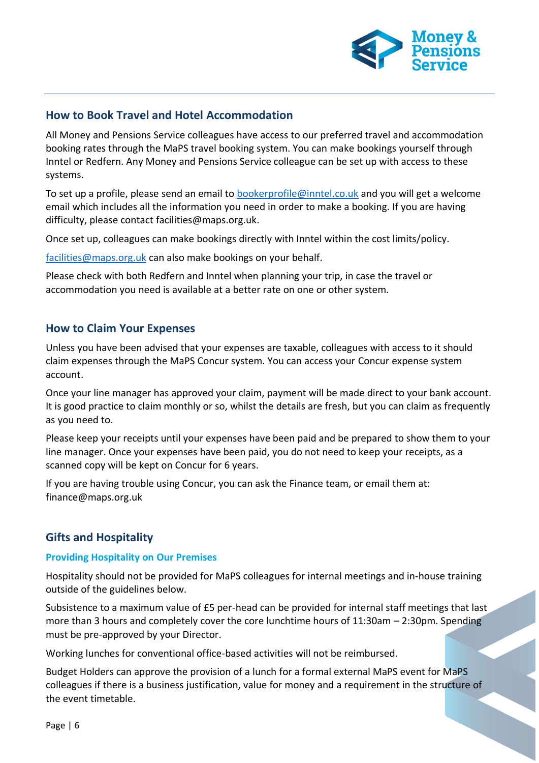

## **How to Book Travel and Hotel Accommodation**

All Money and Pensions Service colleagues have access to our preferred travel and accommodation booking rates through the MaPS travel booking system. You can make bookings yourself through Inntel or Redfern. Any Money and Pensions Service colleague can be set up with access to these systems.

To set up a profile, please send an email to [bookerprofile@inntel.co.uk](mailto:bookerprofile@inntel.co.uk) and you will get a welcome email which includes all the information you need in order to make a booking. If you are having difficulty, please contact [facilities@maps.org.uk.](mailto:facilities@maps.org.uk)

Once set up, colleagues can make bookings directly with Inntel within the cost limits/policy.

[facilities@maps.org.uk](mailto:facilities@maps.org.uk) can also make bookings on your behalf.

Please check with both Redfern and Inntel when planning your trip, in case the travel or accommodation you need is available at a better rate on one or other system.

## **How to Claim Your Expenses**

Unless you have been advised that your expenses are taxable, colleagues with access to it should claim expenses through the MaPS Concur system. You can access your [Concur expense system](https://www.concursolutions.com/nui/signin?gotopage=%2Fportal.asp%3F)  [account.](https://www.concursolutions.com/nui/signin?gotopage=%2Fportal.asp%3F)

Once your line manager has approved your claim, payment will be made direct to your bank account. It is good practice to claim monthly or so, whilst the details are fresh, but you can claim as frequently as you need to.

Please keep your receipts until your expenses have been paid and be prepared to show them to your line manager. Once your expenses have been paid, you do not need to keep your receipts, as a scanned copy will be kept on Concur for 6 years.

If you are having trouble using Concur, you can ask the Finance team, or email them at: [finance@maps.org.uk](mailto:finance@maps.org.uk)

# **Gifts and Hospitality**

#### **Providing Hospitality on Our Premises**

Hospitality should not be provided for MaPS colleagues for internal meetings and in-house training outside of the guidelines below.

Subsistence to a maximum value of £5 per-head can be provided for internal staff meetings that last more than 3 hours and completely cover the core lunchtime hours of 11:30am – 2:30pm. Spending must be pre-approved by your Director.

Working lunches for conventional office-based activities will not be reimbursed.

Budget Holders can approve the provision of a lunch for a formal external MaPS event for MaPS colleagues if there is a business justification, value for money and a requirement in the structure of the event timetable.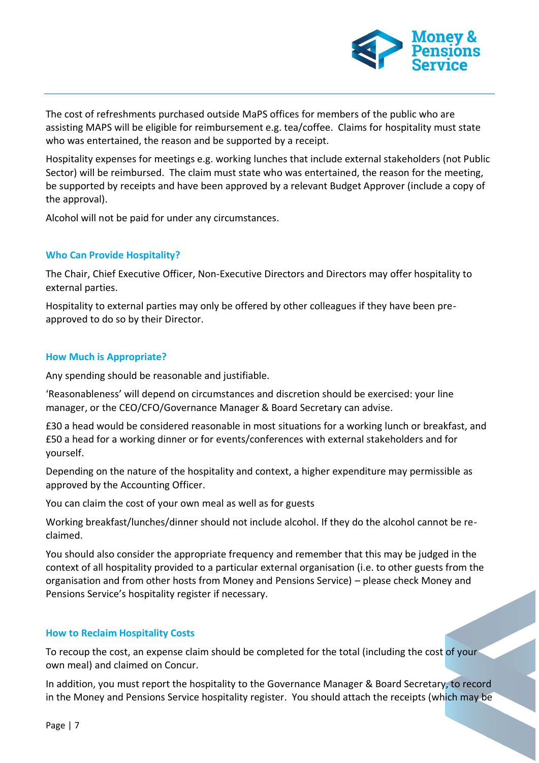

The cost of refreshments purchased outside MaPS offices for members of the public who are assisting MAPS will be eligible for reimbursement e.g. tea/coffee. Claims for hospitality must state who was entertained, the reason and be supported by a receipt.

Hospitality expenses for meetings e.g. working lunches that include external stakeholders (not Public Sector) will be reimbursed. The claim must state who was entertained, the reason for the meeting, be supported by receipts and have been approved by a relevant Budget Approver (include a copy of the approval).

Alcohol will not be paid for under any circumstances.

#### **Who Can Provide Hospitality?**

The Chair, Chief Executive Officer, Non-Executive Directors and Directors may offer hospitality to external parties.

Hospitality to external parties may only be offered by other colleagues if they have been preapproved to do so by their Director.

#### **How Much is Appropriate?**

Any spending should be reasonable and justifiable.

'Reasonableness' will depend on circumstances and discretion should be exercised: your line manager, or the CEO/CFO/Governance Manager & Board Secretary can advise.

£30 a head would be considered reasonable in most situations for a working lunch or breakfast, and £50 a head for a working dinner or for events/conferences with external stakeholders and for yourself.

Depending on the nature of the hospitality and context, a higher expenditure may permissible as approved by the Accounting Officer.

You can claim the cost of your own meal as well as for guests

Working breakfast/lunches/dinner should not include alcohol. If they do the alcohol cannot be reclaimed.

You should also consider the appropriate frequency and remember that this may be judged in the context of all hospitality provided to a particular external organisation (i.e. to other guests from the organisation and from other hosts from Money and Pensions Service) – please check Money and Pensions Service's hospitality register if necessary.

#### **How to Reclaim Hospitality Costs**

To recoup the cost, an expense claim should be completed for the total (including the cost of your own meal) and claimed on Concur.

In addition, you must report the hospitality to the Governance Manager & Board Secretary, to record in the Money and Pensions Service hospitality register. You should attach the receipts (which may be